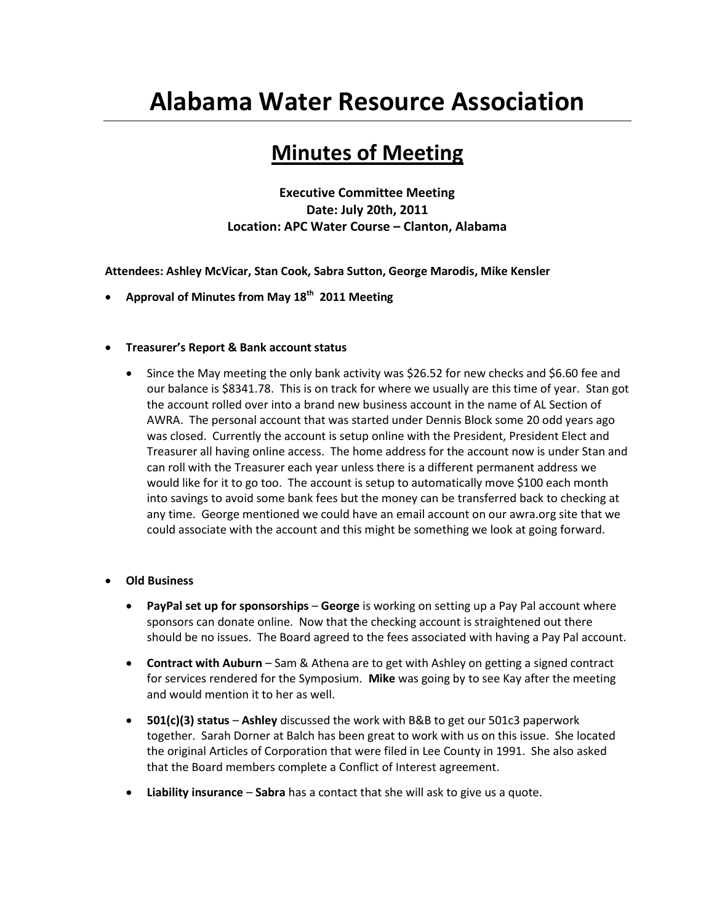## **Alabama Water Resource Association**

## **Minutes of Meeting**

**Executive Committee Meeting Date: July 20th, 2011 Location: APC Water Course – Clanton, Alabama**

**Attendees: Ashley McVicar, Stan Cook, Sabra Sutton, George Marodis, Mike Kensler**

- **Approval of Minutes from May 18th 2011 Meeting**
- **Treasurer's Report & Bank account status**
	- Since the May meeting the only bank activity was \$26.52 for new checks and \$6.60 fee and our balance is \$8341.78. This is on track for where we usually are this time of year. Stan got the account rolled over into a brand new business account in the name of AL Section of AWRA. The personal account that was started under Dennis Block some 20 odd years ago was closed. Currently the account is setup online with the President, President Elect and Treasurer all having online access. The home address for the account now is under Stan and can roll with the Treasurer each year unless there is a different permanent address we would like for it to go too. The account is setup to automatically move \$100 each month into savings to avoid some bank fees but the money can be transferred back to checking at any time. George mentioned we could have an email account on our awra.org site that we could associate with the account and this might be something we look at going forward.
- **Old Business**
	- **PayPal set up for sponsorships George** is working on setting up a Pay Pal account where sponsors can donate online. Now that the checking account is straightened out there should be no issues. The Board agreed to the fees associated with having a Pay Pal account.
	- **Contract with Auburn** Sam & Athena are to get with Ashley on getting a signed contract for services rendered for the Symposium. **Mike** was going by to see Kay after the meeting and would mention it to her as well.
	- **501(c)(3) status Ashley** discussed the work with B&B to get our 501c3 paperwork together. Sarah Dorner at Balch has been great to work with us on this issue. She located the original Articles of Corporation that were filed in Lee County in 1991. She also asked that the Board members complete a Conflict of Interest agreement.
	- **Liability insurance Sabra** has a contact that she will ask to give us a quote.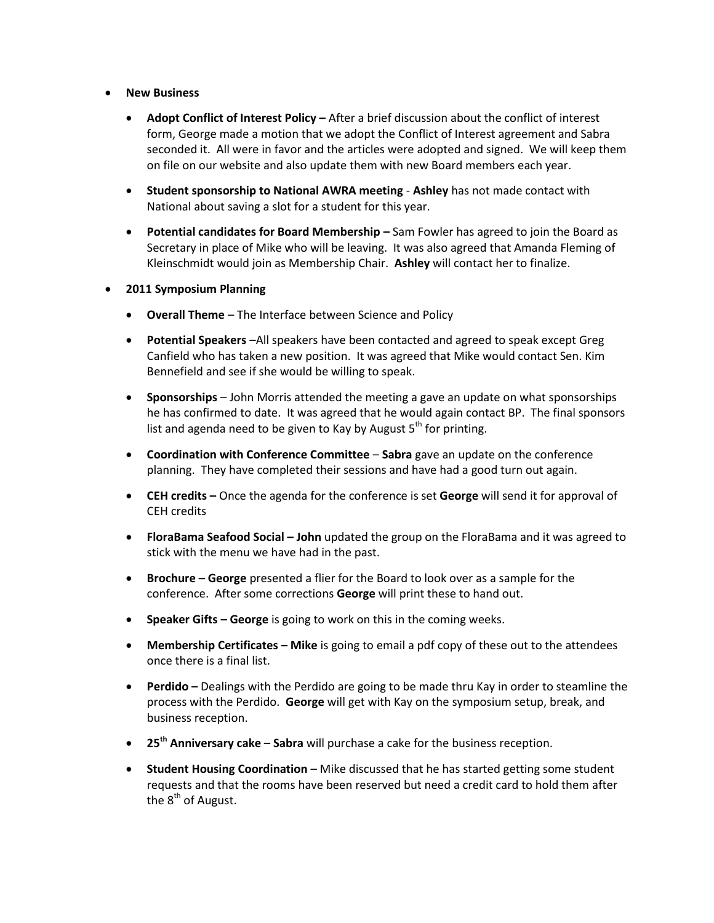- **New Business**
	- **Adopt Conflict of Interest Policy After a brief discussion about the conflict of interest** form, George made a motion that we adopt the Conflict of Interest agreement and Sabra seconded it. All were in favor and the articles were adopted and signed. We will keep them on file on our website and also update them with new Board members each year.
	- **Student sponsorship to National AWRA meeting Ashley** has not made contact with National about saving a slot for a student for this year.
	- **•** Potential candidates for Board Membership Sam Fowler has agreed to join the Board as Secretary in place of Mike who will be leaving. It was also agreed that Amanda Fleming of Kleinschmidt would join as Membership Chair. **Ashley** will contact her to finalize.
- **2011 Symposium Planning**
	- **Overall Theme** The Interface between Science and Policy
	- **Potential Speakers** –All speakers have been contacted and agreed to speak except Greg Canfield who has taken a new position. It was agreed that Mike would contact Sen. Kim Bennefield and see if she would be willing to speak.
	- **Sponsorships** John Morris attended the meeting a gave an update on what sponsorships he has confirmed to date. It was agreed that he would again contact BP. The final sponsors list and agenda need to be given to Kay by August  $5<sup>th</sup>$  for printing.
	- **Coordination with Conference Committee Sabra** gave an update on the conference planning. They have completed their sessions and have had a good turn out again.
	- **CEH credits –** Once the agenda for the conference is set **George** will send it for approval of CEH credits
	- **FloraBama Seafood Social – John** updated the group on the FloraBama and it was agreed to stick with the menu we have had in the past.
	- **Brochure – George** presented a flier for the Board to look over as a sample for the conference. After some corrections **George** will print these to hand out.
	- **Speaker Gifts – George** is going to work on this in the coming weeks.
	- **•** Membership Certificates Mike is going to email a pdf copy of these out to the attendees once there is a final list.
	- **Perdido** Dealings with the Perdido are going to be made thru Kay in order to steamline the process with the Perdido. **George** will get with Kay on the symposium setup, break, and business reception.
	- **25th Anniversary cake Sabra** will purchase a cake for the business reception.
	- **Student Housing Coordination** Mike discussed that he has started getting some student requests and that the rooms have been reserved but need a credit card to hold them after the  $8<sup>th</sup>$  of August.